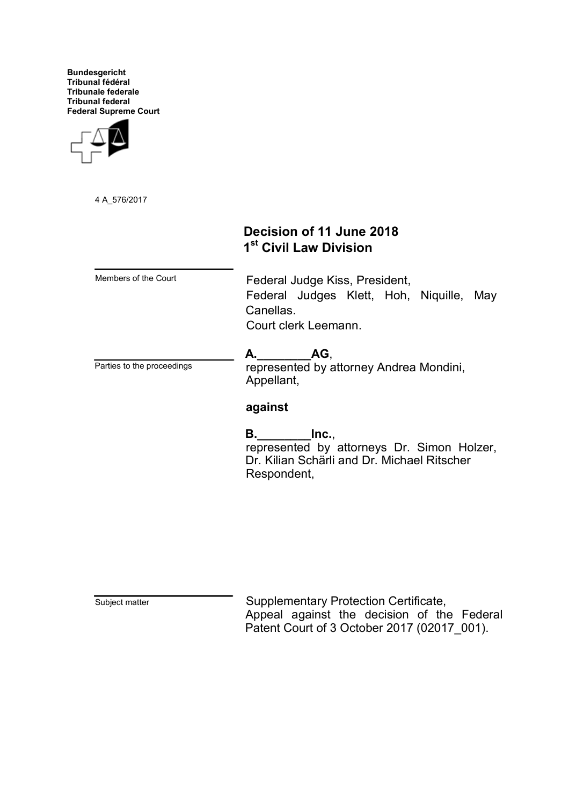**Bundesgericht Tribunal fédéral Tribunale federale Tribunal federal Federal Supreme Court** 



4 A\_576/2017

# **Decision of 11 June 2018 1st Civil Law Division**

| Members of the Court       | Federal Judge Kiss, President,<br>Federal Judges Klett, Hoh, Niquille,<br>May<br>Canellas.<br>Court clerk Leemann.      |
|----------------------------|-------------------------------------------------------------------------------------------------------------------------|
| Parties to the proceedings | AG,<br>А.<br>represented by attorney Andrea Mondini,<br>Appellant,<br>against                                           |
|                            | В.<br>Inc.,<br>represented by attorneys Dr. Simon Holzer,<br>Dr. Kilian Schärli and Dr. Michael Ritscher<br>Respondent, |

Subject matter **Supplementary Protection Certificate**, Appeal against the decision of the Federal Patent Court of 3 October 2017 (02017\_001).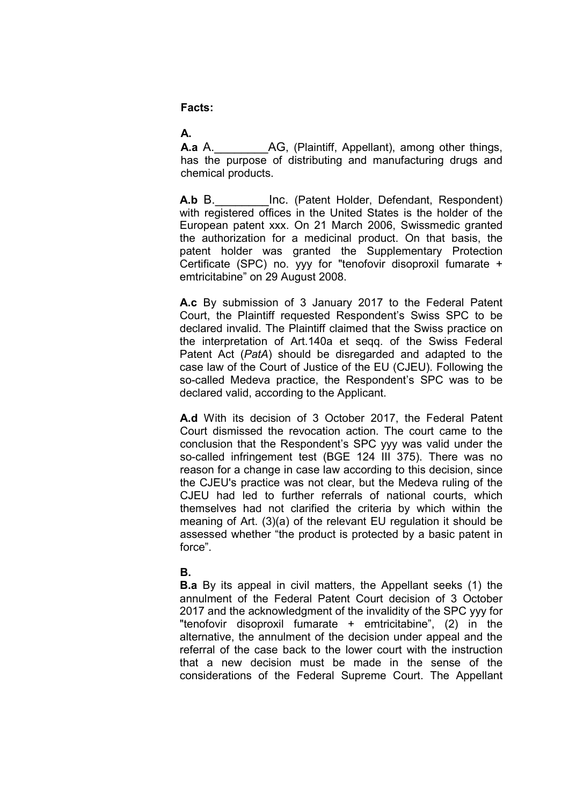**Facts:** 

**A.** 

**A.a** A. \_\_\_\_\_\_\_\_\_\_\_\_\_\_\_AG, (Plaintiff, Appellant), among other things, has the purpose of distributing and manufacturing drugs and chemical products.

**A.b** B. **Inc.** (Patent Holder, Defendant, Respondent) with registered offices in the United States is the holder of the European patent xxx. On 21 March 2006, Swissmedic granted the authorization for a medicinal product. On that basis, the patent holder was granted the Supplementary Protection Certificate (SPC) no. yyy for "tenofovir disoproxil fumarate + emtricitabine" on 29 August 2008.

**A.c** By submission of 3 January 2017 to the Federal Patent Court, the Plaintiff requested Respondent's Swiss SPC to be declared invalid. The Plaintiff claimed that the Swiss practice on the interpretation of Art.140a et seqq. of the Swiss Federal Patent Act (*PatA*) should be disregarded and adapted to the case law of the Court of Justice of the EU (CJEU). Following the so-called Medeva practice, the Respondent's SPC was to be declared valid, according to the Applicant.

**A.d** With its decision of 3 October 2017, the Federal Patent Court dismissed the revocation action. The court came to the conclusion that the Respondent's SPC yyy was valid under the so-called infringement test (BGE 124 III 375). There was no reason for a change in case law according to this decision, since the CJEU's practice was not clear, but the Medeva ruling of the CJEU had led to further referrals of national courts, which themselves had not clarified the criteria by which within the meaning of Art. (3)(a) of the relevant EU regulation it should be assessed whether "the product is protected by a basic patent in force".

#### **B.**

**B.a** By its appeal in civil matters, the Appellant seeks (1) the annulment of the Federal Patent Court decision of 3 October 2017 and the acknowledgment of the invalidity of the SPC yyy for "tenofovir disoproxil fumarate + emtricitabine", (2) in the alternative, the annulment of the decision under appeal and the referral of the case back to the lower court with the instruction that a new decision must be made in the sense of the considerations of the Federal Supreme Court. The Appellant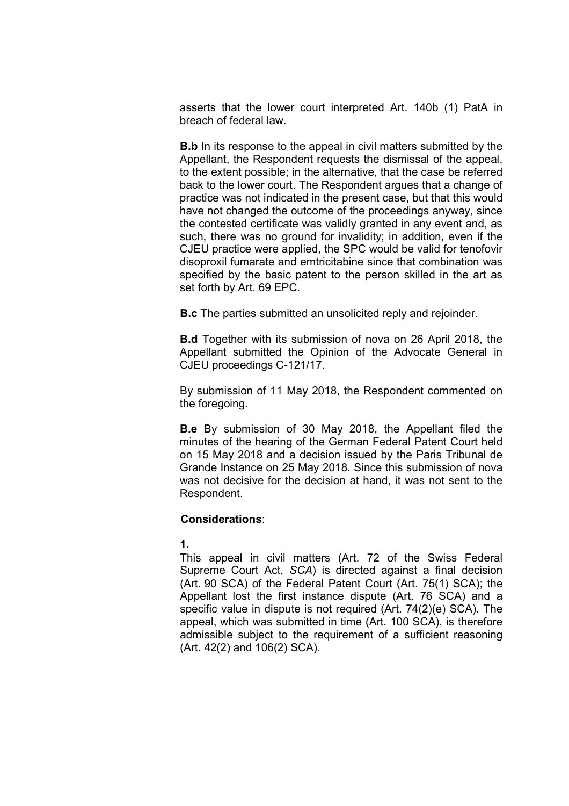asserts that the lower court interpreted Art. 140b (1) PatA in breach of federal law.

**B.b** In its response to the appeal in civil matters submitted by the Appellant, the Respondent requests the dismissal of the appeal, to the extent possible; in the alternative, that the case be referred back to the lower court. The Respondent argues that a change of practice was not indicated in the present case, but that this would have not changed the outcome of the proceedings anyway, since the contested certificate was validly granted in any event and, as such, there was no ground for invalidity; in addition, even if the CJEU practice were applied, the SPC would be valid for tenofovir disoproxil fumarate and emtricitabine since that combination was specified by the basic patent to the person skilled in the art as set forth by Art. 69 EPC.

**B.c** The parties submitted an unsolicited reply and rejoinder.

**B.d** Together with its submission of nova on 26 April 2018, the Appellant submitted the Opinion of the Advocate General in CJEU proceedings C-121/17.

By submission of 11 May 2018, the Respondent commented on the foregoing.

**B.e** By submission of 30 May 2018, the Appellant filed the minutes of the hearing of the German Federal Patent Court held on 15 May 2018 and a decision issued by the Paris Tribunal de Grande Instance on 25 May 2018. Since this submission of nova was not decisive for the decision at hand, it was not sent to the Respondent.

#### **Considerations**:

#### **1.**

This appeal in civil matters (Art. 72 of the Swiss Federal Supreme Court Act, *SCA*) is directed against a final decision (Art. 90 SCA) of the Federal Patent Court (Art. 75(1) SCA); the Appellant lost the first instance dispute (Art. 76 SCA) and a specific value in dispute is not required (Art. 74(2)(e) SCA). The appeal, which was submitted in time (Art. 100 SCA), is therefore admissible subject to the requirement of a sufficient reasoning (Art. 42(2) and 106(2) SCA).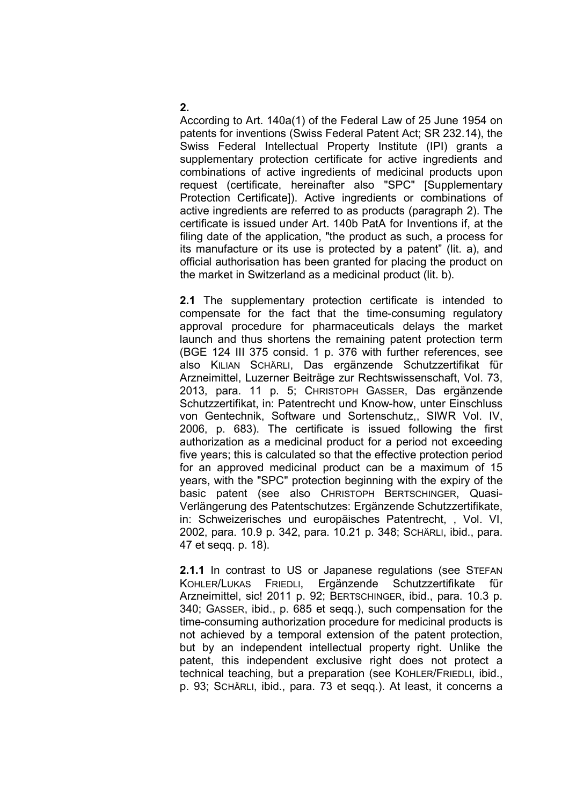According to Art. 140a(1) of the Federal Law of 25 June 1954 on patents for inventions (Swiss Federal Patent Act; SR 232.14), the Swiss Federal Intellectual Property Institute (IPI) grants a supplementary protection certificate for active ingredients and combinations of active ingredients of medicinal products upon request (certificate, hereinafter also "SPC" [Supplementary Protection Certificate]). Active ingredients or combinations of active ingredients are referred to as products (paragraph 2). The certificate is issued under Art. 140b PatA for Inventions if, at the filing date of the application, "the product as such, a process for its manufacture or its use is protected by a patent" (lit. a), and official authorisation has been granted for placing the product on the market in Switzerland as a medicinal product (lit. b).

**2.1** The supplementary protection certificate is intended to compensate for the fact that the time-consuming regulatory approval procedure for pharmaceuticals delays the market launch and thus shortens the remaining patent protection term (BGE 124 III 375 consid. 1 p. 376 with further references, see also KILIAN SCHÄRLI, Das ergänzende Schutzzertifikat für Arzneimittel, Luzerner Beiträge zur Rechtswissenschaft, Vol. 73, 2013, para. 11 p. 5; CHRISTOPH GASSER, Das ergänzende Schutzzertifikat, in: Patentrecht und Know-how, unter Einschluss von Gentechnik, Software und Sortenschutz,, SIWR Vol. IV, 2006, p. 683). The certificate is issued following the first authorization as a medicinal product for a period not exceeding five years; this is calculated so that the effective protection period for an approved medicinal product can be a maximum of 15 years, with the "SPC" protection beginning with the expiry of the basic patent (see also CHRISTOPH BERTSCHINGER, Quasi-Verlängerung des Patentschutzes: Ergänzende Schutzzertifikate, in: Schweizerisches und europäisches Patentrecht, , Vol. VI, 2002, para. 10.9 p. 342, para. 10.21 p. 348; SCHÄRLI, ibid., para. 47 et seqq. p. 18).

**2.1.1** In contrast to US or Japanese regulations (see STEFAN KOHLER/LUKAS FRIEDLI, Ergänzende Schutzzertifikate für Arzneimittel, sic! 2011 p. 92; BERTSCHINGER, ibid., para. 10.3 p. 340; GASSER, ibid., p. 685 et seqq.), such compensation for the time-consuming authorization procedure for medicinal products is not achieved by a temporal extension of the patent protection, but by an independent intellectual property right. Unlike the patent, this independent exclusive right does not protect a technical teaching, but a preparation (see KOHLER/FRIEDLI, ibid., p. 93; SCHÄRLI, ibid., para. 73 et seqq.). At least, it concerns a

#### **2.**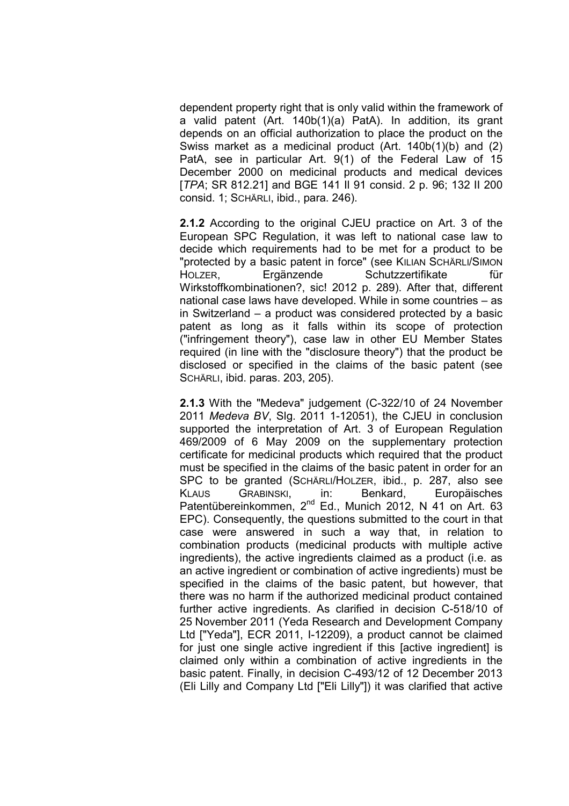dependent property right that is only valid within the framework of a valid patent (Art. 140b(1)(a) PatA). In addition, its grant depends on an official authorization to place the product on the Swiss market as a medicinal product (Art. 140b(1)(b) and (2) PatA, see in particular Art. 9(1) of the Federal Law of 15 December 2000 on medicinal products and medical devices [*TPA*; SR 812.21] and BGE 141 Il 91 consid. 2 p. 96; 132 II 200 consid. 1; SCHÄRLI, ibid., para. 246).

**2.1.2** According to the original CJEU practice on Art. 3 of the European SPC Regulation, it was left to national case law to decide which requirements had to be met for a product to be "protected by a basic patent in force" (see KILIAN SCHÄRLI/SIMON HOLZER, Ergänzende Schutzzertifikate für Wirkstoffkombinationen?, sic! 2012 p. 289). After that, different national case laws have developed. While in some countries – as in Switzerland – a product was considered protected by a basic patent as long as it falls within its scope of protection ("infringement theory"), case law in other EU Member States required (in line with the "disclosure theory") that the product be disclosed or specified in the claims of the basic patent (see SCHÄRLI, ibid. paras. 203, 205).

**2.1.3** With the "Medeva" judgement (C-322/10 of 24 November 2011 *Medeva BV*, Slg. 2011 1-12051), the CJEU in conclusion supported the interpretation of Art. 3 of European Regulation 469/2009 of 6 May 2009 on the supplementary protection certificate for medicinal products which required that the product must be specified in the claims of the basic patent in order for an SPC to be granted (SCHÄRLI/HOLZER, ibid., p. 287, also see KLAUS GRABINSKI, in: Benkard, Europäisches Patentübereinkommen, 2<sup>nd</sup> Ed., Munich 2012, N 41 on Art. 63 EPC). Consequently, the questions submitted to the court in that case were answered in such a way that, in relation to combination products (medicinal products with multiple active ingredients), the active ingredients claimed as a product (i.e. as an active ingredient or combination of active ingredients) must be specified in the claims of the basic patent, but however, that there was no harm if the authorized medicinal product contained further active ingredients. As clarified in decision C-518/10 of 25 November 2011 (Yeda Research and Development Company Ltd ["Yeda"], ECR 2011, I-12209), a product cannot be claimed for just one single active ingredient if this [active ingredient] is claimed only within a combination of active ingredients in the basic patent. Finally, in decision C-493/12 of 12 December 2013 (Eli Lilly and Company Ltd ["Eli Lilly"]) it was clarified that active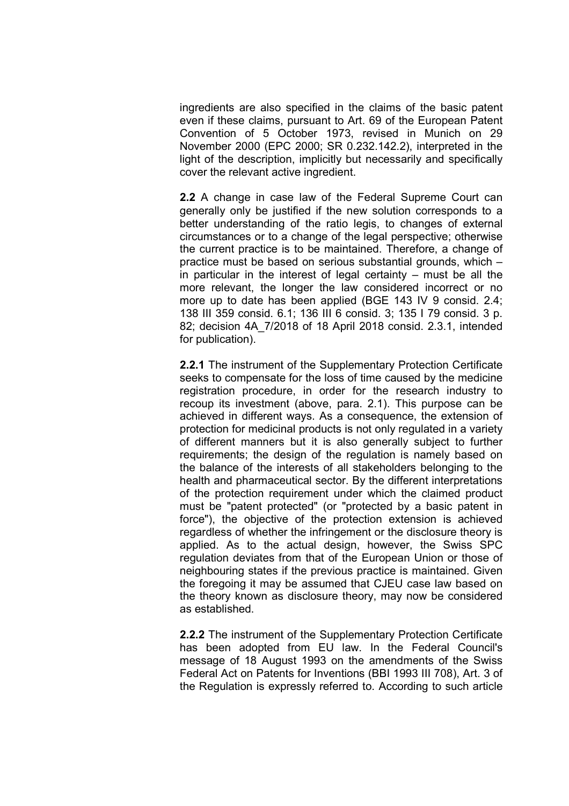ingredients are also specified in the claims of the basic patent even if these claims, pursuant to Art. 69 of the European Patent Convention of 5 October 1973, revised in Munich on 29 November 2000 (EPC 2000; SR 0.232.142.2), interpreted in the light of the description, implicitly but necessarily and specifically cover the relevant active ingredient.

**2.2** A change in case law of the Federal Supreme Court can generally only be justified if the new solution corresponds to a better understanding of the ratio legis, to changes of external circumstances or to a change of the legal perspective; otherwise the current practice is to be maintained. Therefore, a change of practice must be based on serious substantial grounds, which – in particular in the interest of legal certainty – must be all the more relevant, the longer the law considered incorrect or no more up to date has been applied (BGE 143 IV 9 consid. 2.4; 138 III 359 consid. 6.1; 136 III 6 consid. 3; 135 I 79 consid. 3 p. 82; decision 4A\_7/2018 of 18 April 2018 consid. 2.3.1, intended for publication).

**2.2.1** The instrument of the Supplementary Protection Certificate seeks to compensate for the loss of time caused by the medicine registration procedure, in order for the research industry to recoup its investment (above, para. 2.1). This purpose can be achieved in different ways. As a consequence, the extension of protection for medicinal products is not only regulated in a variety of different manners but it is also generally subject to further requirements; the design of the regulation is namely based on the balance of the interests of all stakeholders belonging to the health and pharmaceutical sector. By the different interpretations of the protection requirement under which the claimed product must be "patent protected" (or "protected by a basic patent in force"), the objective of the protection extension is achieved regardless of whether the infringement or the disclosure theory is applied. As to the actual design, however, the Swiss SPC regulation deviates from that of the European Union or those of neighbouring states if the previous practice is maintained. Given the foregoing it may be assumed that CJEU case law based on the theory known as disclosure theory, may now be considered as established.

**2.2.2** The instrument of the Supplementary Protection Certificate has been adopted from EU law. In the Federal Council's message of 18 August 1993 on the amendments of the Swiss Federal Act on Patents for Inventions (BBI 1993 III 708), Art. 3 of the Regulation is expressly referred to. According to such article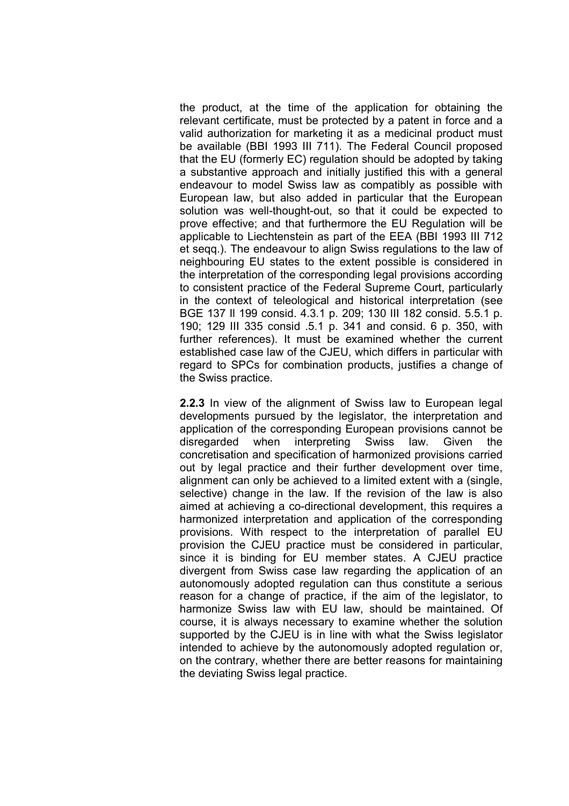the product, at the time of the application for obtaining the relevant certificate, must be protected by a patent in force and a valid authorization for marketing it as a medicinal product must be available (BBI 1993 III 711). The Federal Council proposed that the EU (formerly EC) regulation should be adopted by taking a substantive approach and initially justified this with a general endeavour to model Swiss law as compatibly as possible with European law, but also added in particular that the European solution was well-thought-out, so that it could be expected to prove effective; and that furthermore the EU Regulation will be applicable to Liechtenstein as part of the EEA (BBI 1993 III 712 et seqq.). The endeavour to align Swiss regulations to the law of neighbouring EU states to the extent possible is considered in the interpretation of the corresponding legal provisions according to consistent practice of the Federal Supreme Court, particularly in the context of teleological and historical interpretation (see BGE 137 Il 199 consid. 4.3.1 p. 209; 130 III 182 consid. 5.5.1 p. 190; 129 III 335 consid .5.1 p. 341 and consid. 6 p. 350, with further references). It must be examined whether the current established case law of the CJEU, which differs in particular with regard to SPCs for combination products, justifies a change of the Swiss practice.

**2.2.3** In view of the alignment of Swiss law to European legal developments pursued by the legislator, the interpretation and application of the corresponding European provisions cannot be disregarded when interpreting Swiss law. Given the concretisation and specification of harmonized provisions carried out by legal practice and their further development over time, alignment can only be achieved to a limited extent with a (single, selective) change in the law. If the revision of the law is also aimed at achieving a co-directional development, this requires a harmonized interpretation and application of the corresponding provisions. With respect to the interpretation of parallel EU provision the CJEU practice must be considered in particular, since it is binding for EU member states. A CJEU practice divergent from Swiss case law regarding the application of an autonomously adopted regulation can thus constitute a serious reason for a change of practice, if the aim of the legislator, to harmonize Swiss law with EU law, should be maintained. Of course, it is always necessary to examine whether the solution supported by the CJEU is in line with what the Swiss legislator intended to achieve by the autonomously adopted regulation or, on the contrary, whether there are better reasons for maintaining the deviating Swiss legal practice.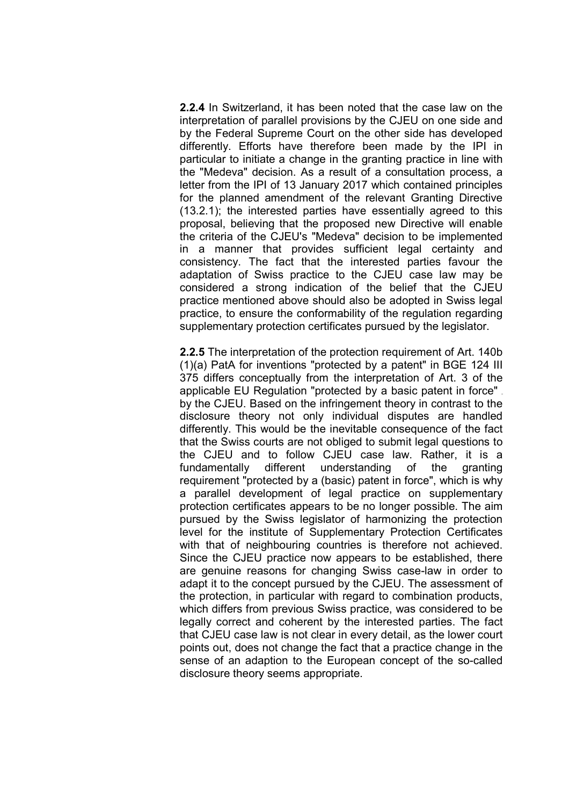**2.2.4** In Switzerland, it has been noted that the case law on the interpretation of parallel provisions by the CJEU on one side and by the Federal Supreme Court on the other side has developed differently. Efforts have therefore been made by the IPI in particular to initiate a change in the granting practice in line with the "Medeva" decision. As a result of a consultation process, a letter from the IPI of 13 January 2017 which contained principles for the planned amendment of the relevant Granting Directive (13.2.1); the interested parties have essentially agreed to this proposal, believing that the proposed new Directive will enable the criteria of the CJEU's "Medeva" decision to be implemented in a manner that provides sufficient legal certainty and consistency. The fact that the interested parties favour the adaptation of Swiss practice to the CJEU case law may be considered a strong indication of the belief that the CJEU practice mentioned above should also be adopted in Swiss legal practice, to ensure the conformability of the regulation regarding supplementary protection certificates pursued by the legislator.

**2.2.5** The interpretation of the protection requirement of Art. 140b (1)(a) PatA for inventions "protected by a patent" in BGE 124 III 375 differs conceptually from the interpretation of Art. 3 of the applicable EU Regulation "protected by a basic patent in force" by the CJEU. Based on the infringement theory in contrast to the disclosure theory not only individual disputes are handled differently. This would be the inevitable consequence of the fact that the Swiss courts are not obliged to submit legal questions to the CJEU and to follow CJEU case law. Rather, it is a fundamentally different understanding of the granting requirement "protected by a (basic) patent in force", which is why a parallel development of legal practice on supplementary protection certificates appears to be no longer possible. The aim pursued by the Swiss legislator of harmonizing the protection level for the institute of Supplementary Protection Certificates with that of neighbouring countries is therefore not achieved. Since the CJEU practice now appears to be established, there are genuine reasons for changing Swiss case-law in order to adapt it to the concept pursued by the CJEU. The assessment of the protection, in particular with regard to combination products, which differs from previous Swiss practice, was considered to be legally correct and coherent by the interested parties. The fact that CJEU case law is not clear in every detail, as the lower court points out, does not change the fact that a practice change in the sense of an adaption to the European concept of the so-called disclosure theory seems appropriate.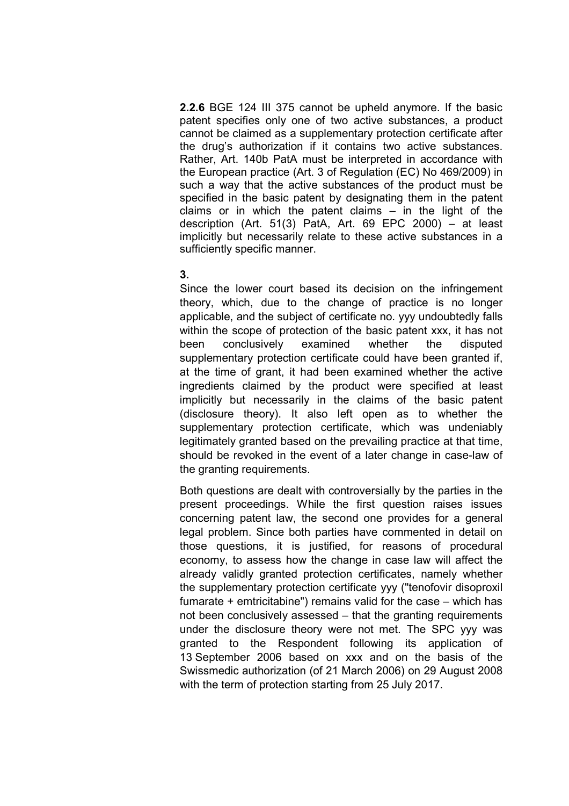**2.2.6** BGE 124 III 375 cannot be upheld anymore. If the basic patent specifies only one of two active substances, a product cannot be claimed as a supplementary protection certificate after the drug's authorization if it contains two active substances. Rather, Art. 140b PatA must be interpreted in accordance with the European practice (Art. 3 of Regulation (EC) No 469/2009) in such a way that the active substances of the product must be specified in the basic patent by designating them in the patent claims or in which the patent claims – in the light of the description (Art. 51(3) PatA, Art. 69 EPC 2000) – at least implicitly but necessarily relate to these active substances in a sufficiently specific manner.

#### **3.**

Since the lower court based its decision on the infringement theory, which, due to the change of practice is no longer applicable, and the subject of certificate no. yyy undoubtedly falls within the scope of protection of the basic patent xxx, it has not been conclusively examined whether the disputed supplementary protection certificate could have been granted if, at the time of grant, it had been examined whether the active ingredients claimed by the product were specified at least implicitly but necessarily in the claims of the basic patent (disclosure theory). It also left open as to whether the supplementary protection certificate, which was undeniably legitimately granted based on the prevailing practice at that time, should be revoked in the event of a later change in case-law of the granting requirements.

Both questions are dealt with controversially by the parties in the present proceedings. While the first question raises issues concerning patent law, the second one provides for a general legal problem. Since both parties have commented in detail on those questions, it is justified, for reasons of procedural economy, to assess how the change in case law will affect the already validly granted protection certificates, namely whether the supplementary protection certificate yyy ("tenofovir disoproxil fumarate + emtricitabine") remains valid for the case – which has not been conclusively assessed – that the granting requirements under the disclosure theory were not met. The SPC yyy was granted to the Respondent following its application of 13 September 2006 based on xxx and on the basis of the Swissmedic authorization (of 21 March 2006) on 29 August 2008 with the term of protection starting from 25 July 2017.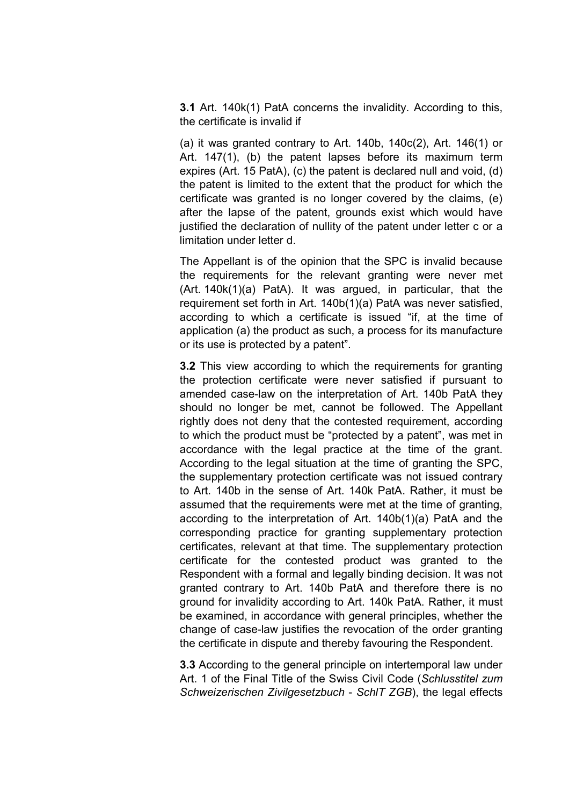**3.1** Art. 140k(1) PatA concerns the invalidity. According to this, the certificate is invalid if

(a) it was granted contrary to Art. 140b, 140c(2), Art. 146(1) or Art. 147(1), (b) the patent lapses before its maximum term expires (Art. 15 PatA), (c) the patent is declared null and void, (d) the patent is limited to the extent that the product for which the certificate was granted is no longer covered by the claims, (e) after the lapse of the patent, grounds exist which would have justified the declaration of nullity of the patent under letter c or a limitation under letter d.

The Appellant is of the opinion that the SPC is invalid because the requirements for the relevant granting were never met (Art. 140k(1)(a) PatA). It was argued, in particular, that the requirement set forth in Art. 140b(1)(a) PatA was never satisfied, according to which a certificate is issued "if, at the time of application (a) the product as such, a process for its manufacture or its use is protected by a patent".

**3.2** This view according to which the requirements for granting the protection certificate were never satisfied if pursuant to amended case-law on the interpretation of Art. 140b PatA they should no longer be met, cannot be followed. The Appellant rightly does not deny that the contested requirement, according to which the product must be "protected by a patent", was met in accordance with the legal practice at the time of the grant. According to the legal situation at the time of granting the SPC, the supplementary protection certificate was not issued contrary to Art. 140b in the sense of Art. 140k PatA. Rather, it must be assumed that the requirements were met at the time of granting, according to the interpretation of Art. 140b(1)(a) PatA and the corresponding practice for granting supplementary protection certificates, relevant at that time. The supplementary protection certificate for the contested product was granted to the Respondent with a formal and legally binding decision. It was not granted contrary to Art. 140b PatA and therefore there is no ground for invalidity according to Art. 140k PatA. Rather, it must be examined, in accordance with general principles, whether the change of case-law justifies the revocation of the order granting the certificate in dispute and thereby favouring the Respondent.

**3.3** According to the general principle on intertemporal law under Art. 1 of the Final Title of the Swiss Civil Code (*Schlusstitel zum Schweizerischen Zivilgesetzbuch* - *SchlT ZGB*), the legal effects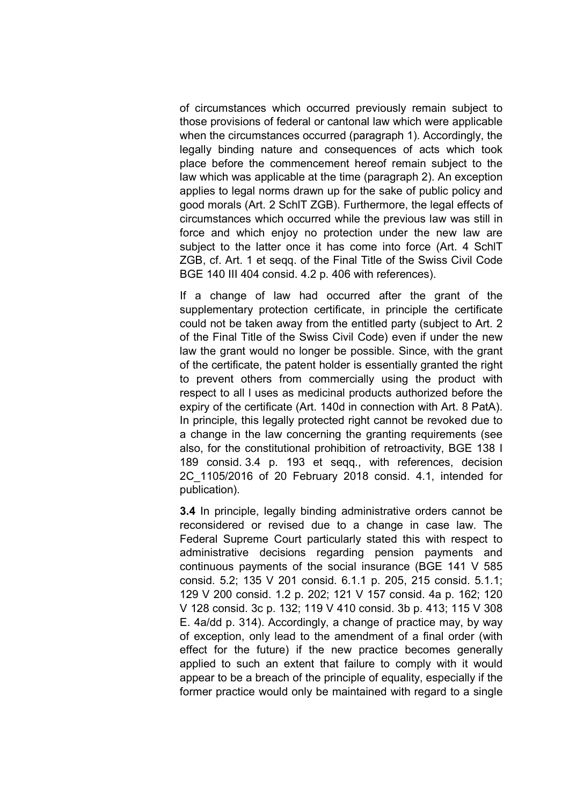of circumstances which occurred previously remain subject to those provisions of federal or cantonal law which were applicable when the circumstances occurred (paragraph 1). Accordingly, the legally binding nature and consequences of acts which took place before the commencement hereof remain subject to the law which was applicable at the time (paragraph 2). An exception applies to legal norms drawn up for the sake of public policy and good morals (Art. 2 SchlT ZGB). Furthermore, the legal effects of circumstances which occurred while the previous law was still in force and which enjoy no protection under the new law are subiect to the latter once it has come into force (Art. 4 SchIT ZGB, cf. Art. 1 et seqq. of the Final Title of the Swiss Civil Code BGE 140 III 404 consid. 4.2 p. 406 with references).

If a change of law had occurred after the grant of the supplementary protection certificate, in principle the certificate could not be taken away from the entitled party (subject to Art. 2 of the Final Title of the Swiss Civil Code) even if under the new law the grant would no longer be possible. Since, with the grant of the certificate, the patent holder is essentially granted the right to prevent others from commercially using the product with respect to all l uses as medicinal products authorized before the expiry of the certificate (Art. 140d in connection with Art. 8 PatA). In principle, this legally protected right cannot be revoked due to a change in the law concerning the granting requirements (see also, for the constitutional prohibition of retroactivity, BGE 138 I 189 consid. 3.4 p. 193 et seqq., with references, decision 2C\_1105/2016 of 20 February 2018 consid. 4.1, intended for publication).

**3.4** In principle, legally binding administrative orders cannot be reconsidered or revised due to a change in case law. The Federal Supreme Court particularly stated this with respect to administrative decisions regarding pension payments and continuous payments of the social insurance (BGE 141 V 585 consid. 5.2; 135 V 201 consid. 6.1.1 p. 205, 215 consid. 5.1.1; 129 V 200 consid. 1.2 p. 202; 121 V 157 consid. 4a p. 162; 120 V 128 consid. 3c p. 132; 119 V 410 consid. 3b p. 413; 115 V 308 E. 4a/dd p. 314). Accordingly, a change of practice may, by way of exception, only lead to the amendment of a final order (with effect for the future) if the new practice becomes generally applied to such an extent that failure to comply with it would appear to be a breach of the principle of equality, especially if the former practice would only be maintained with regard to a single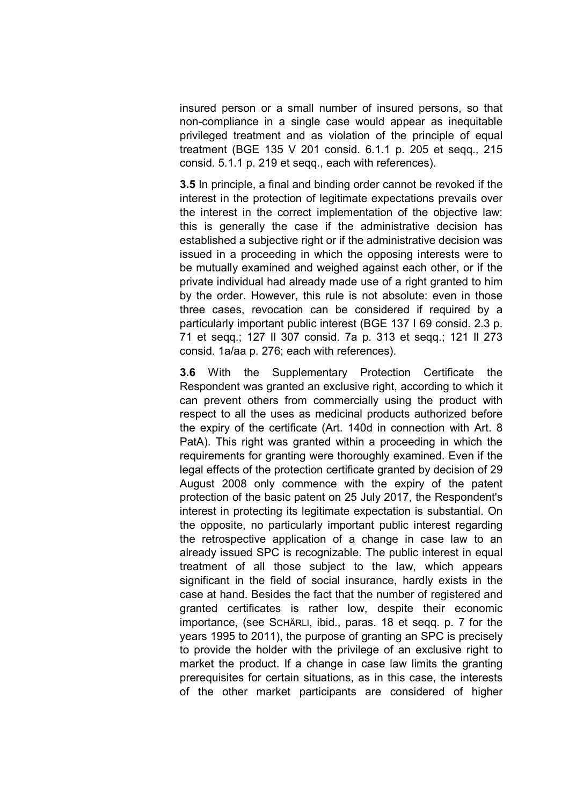insured person or a small number of insured persons, so that non-compliance in a single case would appear as inequitable privileged treatment and as violation of the principle of equal treatment (BGE 135 V 201 consid. 6.1.1 p. 205 et seqq., 215 consid. 5.1.1 p. 219 et seqq., each with references).

**3.5** In principle, a final and binding order cannot be revoked if the interest in the protection of legitimate expectations prevails over the interest in the correct implementation of the objective law: this is generally the case if the administrative decision has established a subjective right or if the administrative decision was issued in a proceeding in which the opposing interests were to be mutually examined and weighed against each other, or if the private individual had already made use of a right granted to him by the order. However, this rule is not absolute: even in those three cases, revocation can be considered if required by a particularly important public interest (BGE 137 I 69 consid. 2.3 p. 71 et seqq.; 127 Il 307 consid. 7a p. 313 et seqq.; 121 Il 273 consid. 1a/aa p. 276; each with references).

**3.6** With the Supplementary Protection Certificate the Respondent was granted an exclusive right, according to which it can prevent others from commercially using the product with respect to all the uses as medicinal products authorized before the expiry of the certificate (Art. 140d in connection with Art. 8 PatA). This right was granted within a proceeding in which the requirements for granting were thoroughly examined. Even if the legal effects of the protection certificate granted by decision of 29 August 2008 only commence with the expiry of the patent protection of the basic patent on 25 July 2017, the Respondent's interest in protecting its legitimate expectation is substantial. On the opposite, no particularly important public interest regarding the retrospective application of a change in case law to an already issued SPC is recognizable. The public interest in equal treatment of all those subject to the law, which appears significant in the field of social insurance, hardly exists in the case at hand. Besides the fact that the number of registered and granted certificates is rather low, despite their economic importance, (see SCHÄRLI, ibid., paras. 18 et seqq. p. 7 for the years 1995 to 2011), the purpose of granting an SPC is precisely to provide the holder with the privilege of an exclusive right to market the product. If a change in case law limits the granting prerequisites for certain situations, as in this case, the interests of the other market participants are considered of higher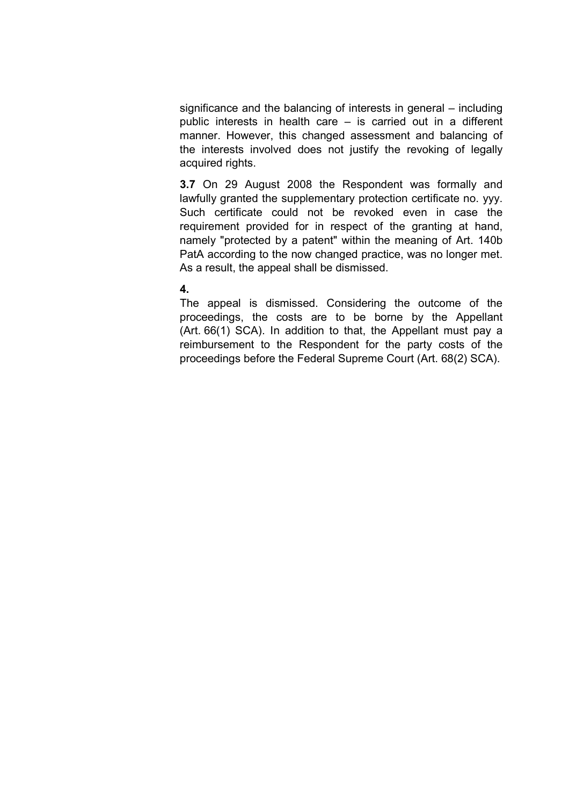significance and the balancing of interests in general – including public interests in health care – is carried out in a different manner. However, this changed assessment and balancing of the interests involved does not justify the revoking of legally acquired rights.

**3.7** On 29 August 2008 the Respondent was formally and lawfully granted the supplementary protection certificate no. yyy. Such certificate could not be revoked even in case the requirement provided for in respect of the granting at hand, namely "protected by a patent" within the meaning of Art. 140b PatA according to the now changed practice, was no longer met. As a result, the appeal shall be dismissed.

## **4.**

The appeal is dismissed. Considering the outcome of the proceedings, the costs are to be borne by the Appellant (Art. 66(1) SCA). In addition to that, the Appellant must pay a reimbursement to the Respondent for the party costs of the proceedings before the Federal Supreme Court (Art. 68(2) SCA).